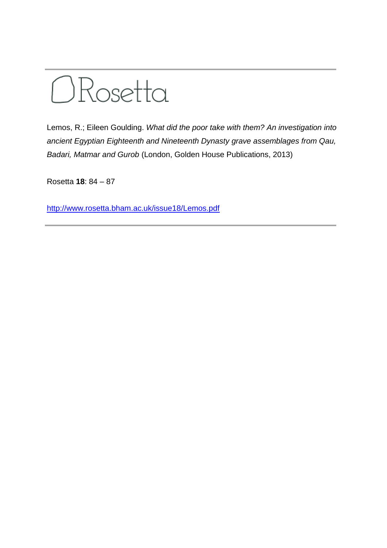

Lemos, R.; Eileen Goulding. *What did the poor take with them? An investigation into ancient Egyptian Eighteenth and Nineteenth Dynasty grave assemblages from Qau, Badari, Matmar and Gurob* (London, Golden House Publications, 2013)

Rosetta **18**: 84 – 87

<http://www.rosetta.bham.ac.uk/issue18/Lemos.pdf>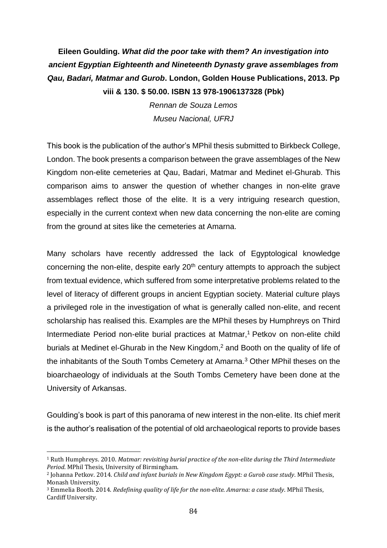## **Eileen Goulding.** *What did the poor take with them? An investigation into ancient Egyptian Eighteenth and Nineteenth Dynasty grave assemblages from Qau, Badari, Matmar and Gurob***. London, Golden House Publications, 2013. Pp viii & 130. \$ 50.00. ISBN 13 978-1906137328 (Pbk)**

*Rennan de Souza Lemos Museu Nacional, UFRJ*

This book is the publication of the author's MPhil thesis submitted to Birkbeck College, London. The book presents a comparison between the grave assemblages of the New Kingdom non-elite cemeteries at Qau, Badari, Matmar and Medinet el-Ghurab. This comparison aims to answer the question of whether changes in non-elite grave assemblages reflect those of the elite. It is a very intriguing research question, especially in the current context when new data concerning the non-elite are coming from the ground at sites like the cemeteries at Amarna.

Many scholars have recently addressed the lack of Egyptological knowledge concerning the non-elite, despite early 20<sup>th</sup> century attempts to approach the subject from textual evidence, which suffered from some interpretative problems related to the level of literacy of different groups in ancient Egyptian society. Material culture plays a privileged role in the investigation of what is generally called non-elite, and recent scholarship has realised this. Examples are the MPhil theses by Humphreys on Third Intermediate Period non-elite burial practices at Matmar,<sup>1</sup> Petkov on non-elite child burials at Medinet el-Ghurab in the New Kingdom, <sup>2</sup> and Booth on the quality of life of the inhabitants of the South Tombs Cemetery at Amarna.<sup>3</sup> Other MPhil theses on the bioarchaeology of individuals at the South Tombs Cemetery have been done at the University of Arkansas.

Goulding's book is part of this panorama of new interest in the non-elite. Its chief merit is the author's realisation of the potential of old archaeological reports to provide bases

 $\overline{\phantom{a}}$ 

<sup>1</sup> Ruth Humphreys. 2010. *Matmar: revisiting burial practice of the non-elite during the Third Intermediate Period*. MPhil Thesis, University of Birmingham.

<sup>2</sup> Johanna Petkov. 2014. *Child and infant burials in New Kingdom Egypt: a Gurob case study*. MPhil Thesis, Monash University.

<sup>3</sup> Emmelia Booth. 2014. *Redefining quality of life for the non-elite. Amarna: a case study*. MPhil Thesis, Cardiff University.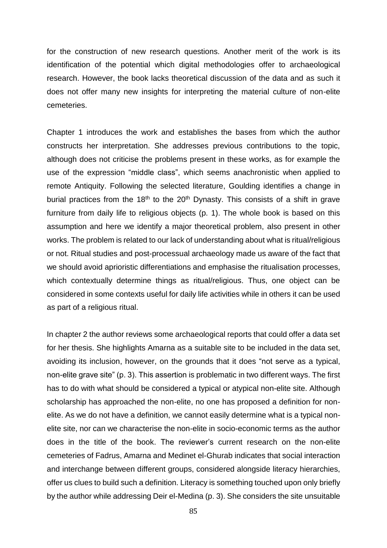for the construction of new research questions. Another merit of the work is its identification of the potential which digital methodologies offer to archaeological research. However, the book lacks theoretical discussion of the data and as such it does not offer many new insights for interpreting the material culture of non-elite cemeteries.

Chapter 1 introduces the work and establishes the bases from which the author constructs her interpretation. She addresses previous contributions to the topic, although does not criticise the problems present in these works, as for example the use of the expression "middle class", which seems anachronistic when applied to remote Antiquity. Following the selected literature, Goulding identifies a change in burial practices from the  $18<sup>th</sup>$  to the  $20<sup>th</sup>$  Dynasty. This consists of a shift in grave furniture from daily life to religious objects (p. 1). The whole book is based on this assumption and here we identify a major theoretical problem, also present in other works. The problem is related to our lack of understanding about what is ritual/religious or not. Ritual studies and post-processual archaeology made us aware of the fact that we should avoid aprioristic differentiations and emphasise the ritualisation processes, which contextually determine things as ritual/religious. Thus, one object can be considered in some contexts useful for daily life activities while in others it can be used as part of a religious ritual.

In chapter 2 the author reviews some archaeological reports that could offer a data set for her thesis. She highlights Amarna as a suitable site to be included in the data set, avoiding its inclusion, however, on the grounds that it does "not serve as a typical, non-elite grave site" (p. 3). This assertion is problematic in two different ways. The first has to do with what should be considered a typical or atypical non-elite site. Although scholarship has approached the non-elite, no one has proposed a definition for nonelite. As we do not have a definition, we cannot easily determine what is a typical nonelite site, nor can we characterise the non-elite in socio-economic terms as the author does in the title of the book. The reviewer's current research on the non-elite cemeteries of Fadrus, Amarna and Medinet el-Ghurab indicates that social interaction and interchange between different groups, considered alongside literacy hierarchies, offer us clues to build such a definition. Literacy is something touched upon only briefly by the author while addressing Deir el-Medina (p. 3). She considers the site unsuitable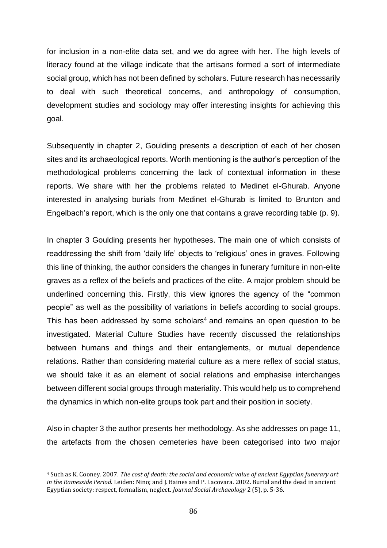for inclusion in a non-elite data set, and we do agree with her. The high levels of literacy found at the village indicate that the artisans formed a sort of intermediate social group, which has not been defined by scholars. Future research has necessarily to deal with such theoretical concerns, and anthropology of consumption, development studies and sociology may offer interesting insights for achieving this goal.

Subsequently in chapter 2, Goulding presents a description of each of her chosen sites and its archaeological reports. Worth mentioning is the author's perception of the methodological problems concerning the lack of contextual information in these reports. We share with her the problems related to Medinet el-Ghurab. Anyone interested in analysing burials from Medinet el-Ghurab is limited to Brunton and Engelbach's report, which is the only one that contains a grave recording table (p. 9).

In chapter 3 Goulding presents her hypotheses. The main one of which consists of readdressing the shift from 'daily life' objects to 'religious' ones in graves. Following this line of thinking, the author considers the changes in funerary furniture in non-elite graves as a reflex of the beliefs and practices of the elite. A major problem should be underlined concerning this. Firstly, this view ignores the agency of the "common people" as well as the possibility of variations in beliefs according to social groups. This has been addressed by some scholars<sup>4</sup> and remains an open question to be investigated. Material Culture Studies have recently discussed the relationships between humans and things and their entanglements, or mutual dependence relations. Rather than considering material culture as a mere reflex of social status, we should take it as an element of social relations and emphasise interchanges between different social groups through materiality. This would help us to comprehend the dynamics in which non-elite groups took part and their position in society.

Also in chapter 3 the author presents her methodology. As she addresses on page 11, the artefacts from the chosen cemeteries have been categorised into two major

 $\overline{\phantom{a}}$ 

<sup>4</sup> Such as K. Cooney. 2007. *The cost of death: the social and economic value of ancient Egyptian funerary art in the Ramesside Period*. Leiden: Nino; and J. Baines and P. Lacovara. 2002. Burial and the dead in ancient Egyptian society: respect, formalism, neglect. *Journal Social Archaeology* 2 (5), p. 5-36.